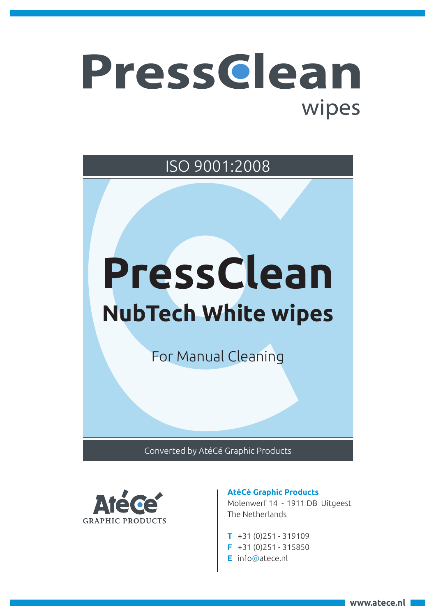## Pressclean wipes

ISO 9001:2008

# **PressClean NubTech White wipes**

For Manual Cleaning

Converted by AtéCé Graphic Products



### **AtéCé Graphic Products**

Molenwerf 14 - 1911 DB Uitgeest The Netherlands

- **T** +31 (0)251 319109
- **F** +31 (0)251 315850
- **E** info@atece.nl